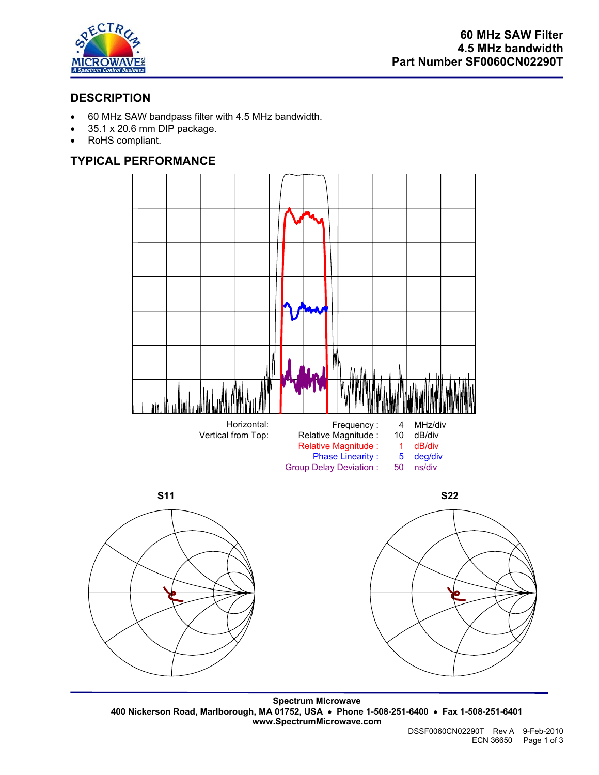

# **DESCRIPTION**

- 60 MHz SAW bandpass filter with 4.5 MHz bandwidth.
- 35.1 x 20.6 mm DIP package.
- RoHS compliant.

## **TYPICAL PERFORMANCE**







**Spectrum Microwave 400 Nickerson Road, Marlborough, MA 01752, USA** • **Phone 1-508-251-6400** • **Fax 1-508-251-6401 www.SpectrumMicrowave.com**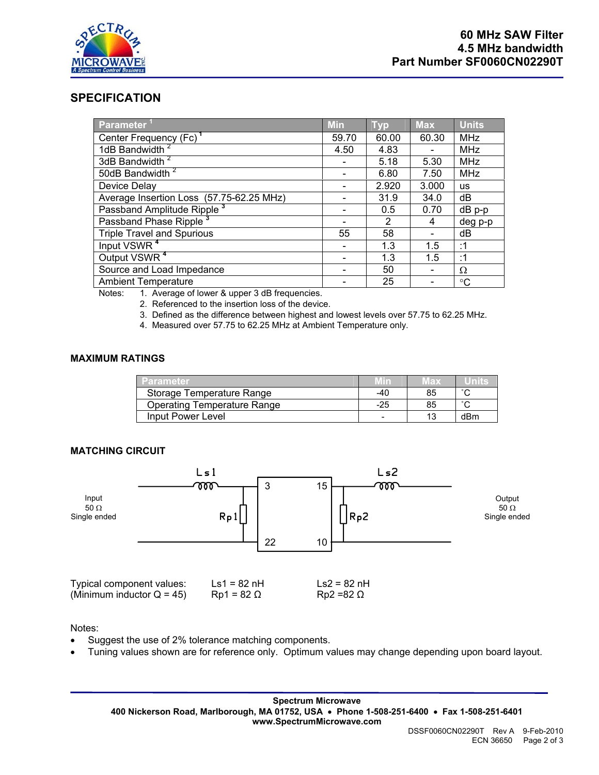

### **SPECIFICATION**

| <b>Parameter</b>                         | <b>Min</b> | <b>Typ</b> | <b>Max</b> | <b>Units</b> |
|------------------------------------------|------------|------------|------------|--------------|
| Center Frequency (Fc) <sup>1</sup>       | 59.70      | 60.00      | 60.30      | <b>MHz</b>   |
| 1dB Bandwidth                            | 4.50       | 4.83       |            | <b>MHz</b>   |
| 3dB Bandwidth <sup>2</sup>               |            | 5.18       | 5.30       | <b>MHz</b>   |
| 50dB Bandwidth <sup>2</sup>              |            | 6.80       | 7.50       | <b>MHz</b>   |
| Device Delay                             |            | 2.920      | 3.000      | <b>us</b>    |
| Average Insertion Loss (57.75-62.25 MHz) |            | 31.9       | 34.0       | dB           |
| Passband Amplitude Ripple <sup>3</sup>   |            | 0.5        | 0.70       | dB p-p       |
| Passband Phase Ripple                    |            | 2          | 4          | deg p-p      |
| <b>Triple Travel and Spurious</b>        | 55         | 58         |            | dB           |
| Input VSWR <sup>4</sup>                  |            | 1.3        | 1.5        | :1           |
| Output VSWR <sup>4</sup>                 |            | 1.3        | 1.5        | :1           |
| Source and Load Impedance                |            | 50         |            | Ω            |
| <b>Ambient Temperature</b>               |            | 25         |            | °C           |

Notes: 1. Average of lower & upper 3 dB frequencies.

2. Referenced to the insertion loss of the device.

3. Defined as the difference between highest and lowest levels over 57.75 to 62.25 MHz.

4. Measured over 57.75 to 62.25 MHz at Ambient Temperature only.

#### **MAXIMUM RATINGS**

| <b>Parameter</b>            | Min | IF X |        |
|-----------------------------|-----|------|--------|
| Storage Temperature Range   | -40 |      |        |
| Operating Temperature Range | -25 |      | $\sim$ |
| Input Power Level           |     |      | dBm    |

#### **MATCHING CIRCUIT**



Notes:

- Suggest the use of 2% tolerance matching components.
- Tuning values shown are for reference only. Optimum values may change depending upon board layout.

**Spectrum Microwave 400 Nickerson Road, Marlborough, MA 01752, USA** • **Phone 1-508-251-6400** • **Fax 1-508-251-6401 www.SpectrumMicrowave.com**